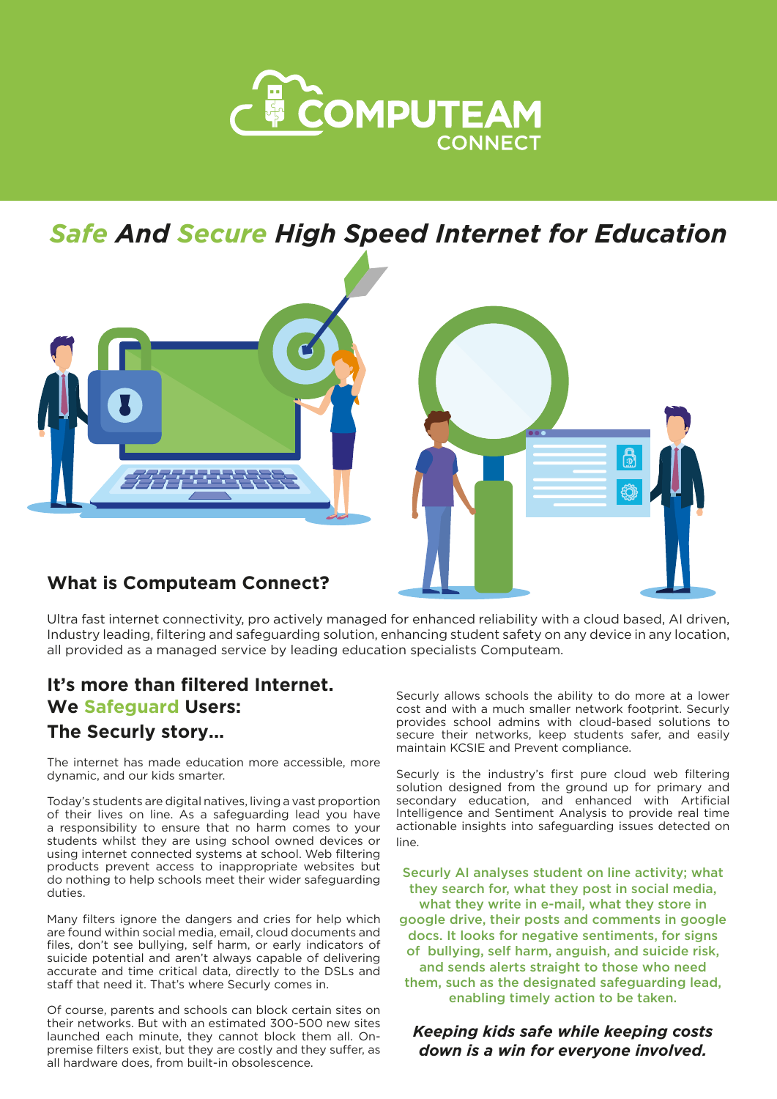

*Safe And Secure High Speed Internet for Education*



# **What is Computeam Connect?**

Ultra fast internet connectivity, pro actively managed for enhanced reliability with a cloud based, AI driven, Industry leading, filtering and safeguarding solution, enhancing student safety on any device in any location, all provided as a managed service by leading education specialists Computeam.

### **It's more than filtered Internet. We Safeguard Users:**

#### **The Securly story...**

The internet has made education more accessible, more dynamic, and our kids smarter.

Today's students are digital natives, living a vast proportion of their lives on line. As a safeguarding lead you have a responsibility to ensure that no harm comes to your students whilst they are using school owned devices or using internet connected systems at school. Web filtering products prevent access to inappropriate websites but do nothing to help schools meet their wider safeguarding duties.

Many filters ignore the dangers and cries for help which are found within social media, email, cloud documents and files, don't see bullying, self harm, or early indicators of suicide potential and aren't always capable of delivering accurate and time critical data, directly to the DSLs and staff that need it. That's where Securly comes in.

Of course, parents and schools can block certain sites on their networks. But with an estimated 300-500 new sites launched each minute, they cannot block them all. Onpremise filters exist, but they are costly and they suffer, as all hardware does, from built-in obsolescence.

Securly allows schools the ability to do more at a lower cost and with a much smaller network footprint. Securly provides school admins with cloud-based solutions to secure their networks, keep students safer, and easily maintain KCSIE and Prevent compliance.

Securly is the industry's first pure cloud web filtering solution designed from the ground up for primary and secondary education, and enhanced with Artificial Intelligence and Sentiment Analysis to provide real time actionable insights into safeguarding issues detected on line.

Securly AI analyses student on line activity; what they search for, what they post in social media, what they write in e-mail, what they store in google drive, their posts and comments in google docs. It looks for negative sentiments, for signs of bullying, self harm, anguish, and suicide risk, and sends alerts straight to those who need them, such as the designated safeguarding lead, enabling timely action to be taken.

#### *Keeping kids safe while keeping costs down is a win for everyone involved.*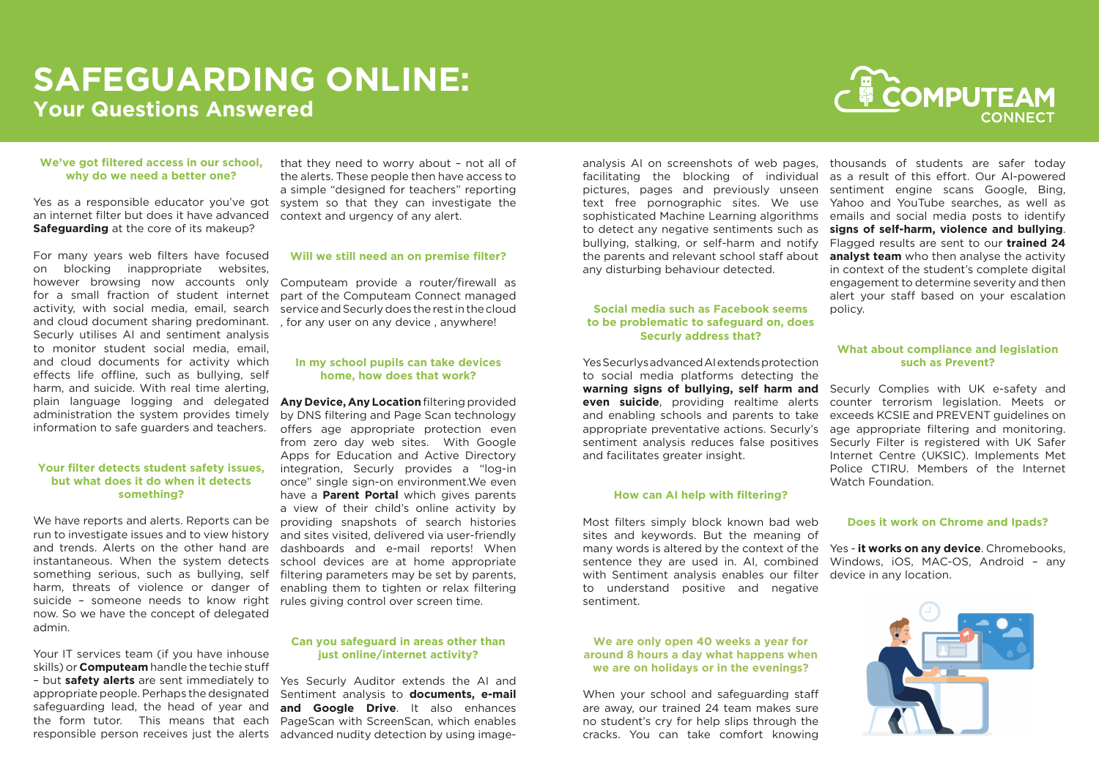#### **We've got filtered access in our school, why do we need a better one?**

Yes as a responsible educator you've got system so that they can investigate the an internet filter but does it have advanced **Safeguarding** at the core of its makeup?

For many years web filters have focused on blocking inappropriate websites, however browsing now accounts only for a small fraction of student internet activity, with social media, email, search and cloud document sharing predominant. Securly utilises AI and sentiment analysis to monitor student social media, email, and cloud documents for activity which effects life offline, such as bullying, self harm, and suicide. With real time alerting, plain language logging and delegated administration the system provides timely information to safe guarders and teachers.

Your IT services team (if you have inhouse skills) or **Computeam** handle the techie stuff – but **safety alerts** are sent immediately to appropriate people. Perhaps the designated safeguarding lead, the head of year and the form tutor. This means that each responsible person receives just the alerts

#### **Your filter detects student safety issues, but what does it do when it detects something?**

We have reports and alerts. Reports can be run to investigate issues and to view history and trends. Alerts on the other hand are instantaneous. When the system detects something serious, such as bullying, self harm, threats of violence or danger of suicide – someone needs to know right now. So we have the concept of delegated admin.

that they need to worry about – not all of the alerts. These people then have access to a simple "designed for teachers" reporting context and urgency of any alert.

#### **Will we still need an on premise filter?**

Computeam provide a router/firewall as part of the Computeam Connect managed service and Securly does the rest in the cloud , for any user on any device , anywhere!

#### **In my school pupils can take devices home, how does that work?**

**Any Device, Any Location** filtering provided by DNS filtering and Page Scan technology offers age appropriate protection even from zero day web sites. With Google Apps for Education and Active Directory integration, Securly provides a "log-in once" single sign-on environment.We even have a **Parent Portal** which gives parents a view of their child's online activity by providing snapshots of search histories and sites visited, delivered via user-friendly dashboards and e-mail reports! When school devices are at home appropriate filtering parameters may be set by parents, enabling them to tighten or relax filtering rules giving control over screen time.

#### **Can you safeguard in areas other than just online/internet activity?**

Yes Securly Auditor extends the AI and Sentiment analysis to **documents, e-mail and Google Drive**. It also enhances PageScan with ScreenScan, which enables advanced nudity detection by using image-

# **to be problematic to safeguard on, does Securly address that?**

#### **How can AI help with filtering?**

analysis AI on screenshots of web pages, facilitating the blocking of individual pictures, pages and previously unseen text free pornographic sites. We use sophisticated Machine Learning algorithms to detect any negative sentiments such as bullying, stalking, or self-harm and notify the parents and relevant school staff about any disturbing behaviour detected. **Social media such as Facebook seems**  thousands of students are safer today as a result of this effort. Our AI-powered sentiment engine scans Google, Bing, Yahoo and YouTube searches, as well as emails and social media posts to identify **signs of self-harm, violence and bullying**. Flagged results are sent to our **trained 24 analyst team** who then analyse the activity in context of the student's complete digital engagement to determine severity and then alert your staff based on your escalation policy.

#### **We are only open 40 weeks a year for around 8 hours a day what happens when we are on holidays or in the evenings?**

When your school and safeguarding staff are away, our trained 24 team makes sure no student's cry for help slips through the cracks. You can take comfort knowing



Yes Securlys advanced AI extends protection to social media platforms detecting the **warning signs of bullying, self harm and even suicide**, providing realtime alerts and enabling schools and parents to take appropriate preventative actions. Securly's sentiment analysis reduces false positives and facilitates greater insight. Securly Complies with UK e-safety and counter terrorism legislation. Meets or exceeds KCSIE and PREVENT guidelines on age appropriate filtering and monitoring. Securly Filter is registered with UK Safer Internet Centre (UKSIC). Implements Met Police CTIRU. Members of the Internet Watch Foundation.

Most filters simply block known bad web sites and keywords. But the meaning of many words is altered by the context of the sentence they are used in. AI, combined with Sentiment analysis enables our filter device in any location. to understand positive and negative sentiment. Yes - **it works on any device**. Chromebooks, Windows, iOS, MAC-OS, Android – any

#### **What about compliance and legislation such as Prevent?**

#### **Does it work on Chrome and Ipads?**



# **SAFEGUARDING ONLINE: Your Questions Answered**